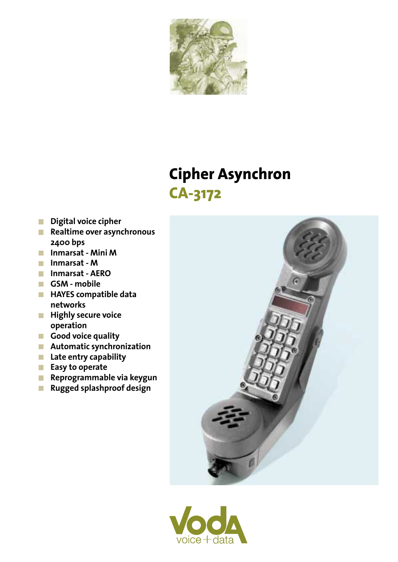

## **Cipher Asynchron CA-3172**

- Digital voice cipher
- $R$ ealtime over asynchronous 2400 bps
- **Inmarsat Mini M**
- Inmarsat M
- **Inmarsat AERO**
- GSM mobile
- **HAYES compatible data** networks
- **Highly secure voice** operation
- Good voice quality
- **Automatic synchronization**
- **Late entry capability**
- Easy to operate
- $R$ eprogrammable via keygun
- **Rugged splashproof design**